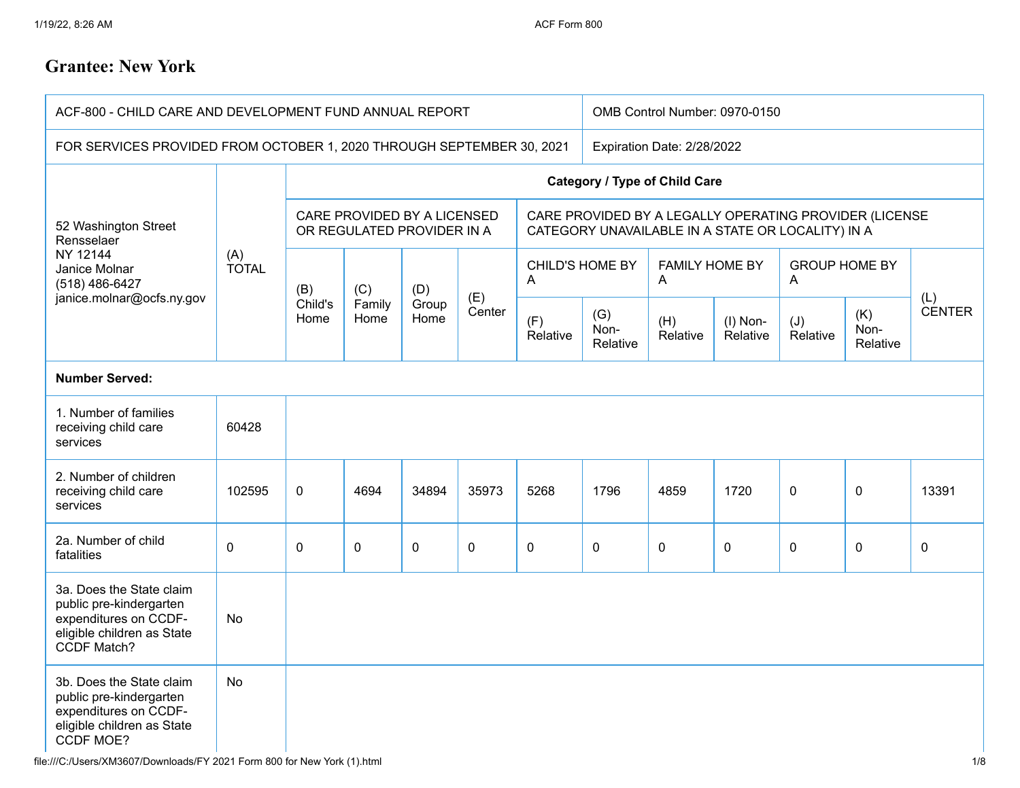## **Grantee: New York**

| ACF-800 - CHILD CARE AND DEVELOPMENT FUND ANNUAL REPORT                                                                          |              |                                                           |                       |                            |               | OMB Control Number: 0970-0150                                                                               |                         |                            |                      |                           |                         |                      |
|----------------------------------------------------------------------------------------------------------------------------------|--------------|-----------------------------------------------------------|-----------------------|----------------------------|---------------|-------------------------------------------------------------------------------------------------------------|-------------------------|----------------------------|----------------------|---------------------------|-------------------------|----------------------|
| FOR SERVICES PROVIDED FROM OCTOBER 1, 2020 THROUGH SEPTEMBER 30, 2021                                                            |              |                                                           |                       | Expiration Date: 2/28/2022 |               |                                                                                                             |                         |                            |                      |                           |                         |                      |
| 52 Washington Street<br>Rensselaer                                                                                               | (A)<br>TOTAL | <b>Category / Type of Child Care</b>                      |                       |                            |               |                                                                                                             |                         |                            |                      |                           |                         |                      |
|                                                                                                                                  |              | CARE PROVIDED BY A LICENSED<br>OR REGULATED PROVIDER IN A |                       |                            |               | CARE PROVIDED BY A LEGALLY OPERATING PROVIDER (LICENSE<br>CATEGORY UNAVAILABLE IN A STATE OR LOCALITY) IN A |                         |                            |                      |                           |                         |                      |
| NY 12144<br>Janice Molnar<br>(518) 486-6427                                                                                      |              | (B)<br>Child's<br>Home                                    | (C)<br>Family<br>Home | (D)<br>Group<br>Home       | (E)<br>Center | <b>CHILD'S HOME BY</b><br>A                                                                                 |                         | <b>FAMILY HOME BY</b><br>A |                      | <b>GROUP HOME BY</b><br>A |                         |                      |
| janice.molnar@ocfs.ny.gov                                                                                                        |              |                                                           |                       |                            |               | (F)<br>Relative                                                                                             | (G)<br>Non-<br>Relative | (H)<br>Relative            | (I) Non-<br>Relative | (J)<br>Relative           | (K)<br>Non-<br>Relative | (L)<br><b>CENTER</b> |
| <b>Number Served:</b>                                                                                                            |              |                                                           |                       |                            |               |                                                                                                             |                         |                            |                      |                           |                         |                      |
| 1. Number of families<br>receiving child care<br>services                                                                        | 60428        |                                                           |                       |                            |               |                                                                                                             |                         |                            |                      |                           |                         |                      |
| 2. Number of children<br>receiving child care<br>services                                                                        | 102595       | 0                                                         | 4694                  | 34894                      | 35973         | 5268                                                                                                        | 1796                    | 4859                       | 1720                 | $\mathbf 0$               | $\pmb{0}$               | 13391                |
| 2a. Number of child<br>fatalities                                                                                                | $\mathbf 0$  | 0                                                         | $\mathbf 0$           | $\mathbf 0$                | 0             | $\mathbf 0$                                                                                                 | $\mathbf 0$             | $\mathbf 0$                | $\mathbf 0$          | $\mathbf 0$               | $\mathbf 0$             | 0                    |
| 3a. Does the State claim<br>public pre-kindergarten<br>expenditures on CCDF-<br>eligible children as State<br><b>CCDF Match?</b> | No           |                                                           |                       |                            |               |                                                                                                             |                         |                            |                      |                           |                         |                      |
| 3b. Does the State claim<br>public pre-kindergarten<br>expenditures on CCDF-<br>eligible children as State<br>CCDF MOE?          | <b>No</b>    |                                                           |                       |                            |               |                                                                                                             |                         |                            |                      |                           |                         |                      |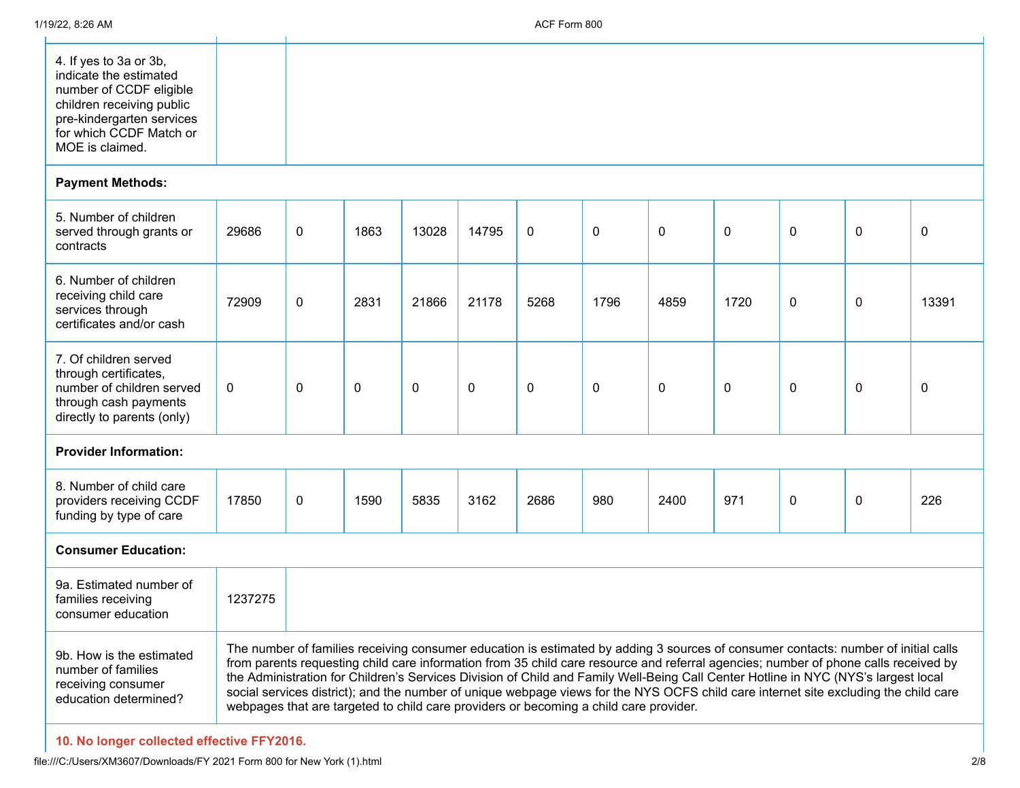$\mathbf{L}$ 

| 4. If yes to 3a or 3b,<br>indicate the estimated<br>number of CCDF eligible<br>children receiving public<br>pre-kindergarten services<br>for which CCDF Match or<br>MOE is claimed. |  |  |
|-------------------------------------------------------------------------------------------------------------------------------------------------------------------------------------|--|--|

## **Payment Methods:**

| 5. Number of children<br>served through grants or<br>contracts                                                                     | 29686       | 0 | 1863 | 13028 | 14795        | 0    | $\mathbf{0}$ | $\mathbf{0}$ | 0           | $\mathbf{0}$                                                                                                                                                                                                                                                                                                                                                                                                                                                                                                                                            | $\mathbf{0}$ | 0     |
|------------------------------------------------------------------------------------------------------------------------------------|-------------|---|------|-------|--------------|------|--------------|--------------|-------------|---------------------------------------------------------------------------------------------------------------------------------------------------------------------------------------------------------------------------------------------------------------------------------------------------------------------------------------------------------------------------------------------------------------------------------------------------------------------------------------------------------------------------------------------------------|--------------|-------|
| 6. Number of children<br>receiving child care<br>services through<br>certificates and/or cash                                      | 72909       | 0 | 2831 | 21866 | 21178        | 5268 | 1796         | 4859         | 1720        | $\mathbf{0}$                                                                                                                                                                                                                                                                                                                                                                                                                                                                                                                                            | $\Omega$     | 13391 |
| 7. Of children served<br>through certificates,<br>number of children served<br>through cash payments<br>directly to parents (only) | $\mathbf 0$ | 0 | 0    | 0     | $\mathbf{0}$ | 0    | 0            | $\mathbf{0}$ | $\mathbf 0$ | $\mathbf{0}$                                                                                                                                                                                                                                                                                                                                                                                                                                                                                                                                            | $\mathbf{0}$ | 0     |
| <b>Provider Information:</b>                                                                                                       |             |   |      |       |              |      |              |              |             |                                                                                                                                                                                                                                                                                                                                                                                                                                                                                                                                                         |              |       |
| 8. Number of child care<br>providers receiving CCDF<br>funding by type of care                                                     | 17850       | 0 | 1590 | 5835  | 3162         | 2686 | 980          | 2400         | 971         | $\mathbf{0}$                                                                                                                                                                                                                                                                                                                                                                                                                                                                                                                                            | 0            | 226   |
| <b>Consumer Education:</b>                                                                                                         |             |   |      |       |              |      |              |              |             |                                                                                                                                                                                                                                                                                                                                                                                                                                                                                                                                                         |              |       |
| 9a. Estimated number of<br>families receiving<br>consumer education                                                                | 1237275     |   |      |       |              |      |              |              |             |                                                                                                                                                                                                                                                                                                                                                                                                                                                                                                                                                         |              |       |
| 9b. How is the estimated<br>number of families<br>receiving consumer<br>education determined?                                      |             |   |      |       |              |      |              |              |             | The number of families receiving consumer education is estimated by adding 3 sources of consumer contacts: number of initial calls<br>from parents requesting child care information from 35 child care resource and referral agencies; number of phone calls received by<br>the Administration for Children's Services Division of Child and Family Well-Being Call Center Hotline in NYC (NYS's largest local<br>social services district); and the number of unique webpage views for the NYS OCFS child care internet site excluding the child care |              |       |

webpages that are targeted to child care providers or becoming a child care provider.

**10. No longer collected effective FFY2016.**

file:///C:/Users/XM3607/Downloads/FY 2021 Form 800 for New York (1).html 2/8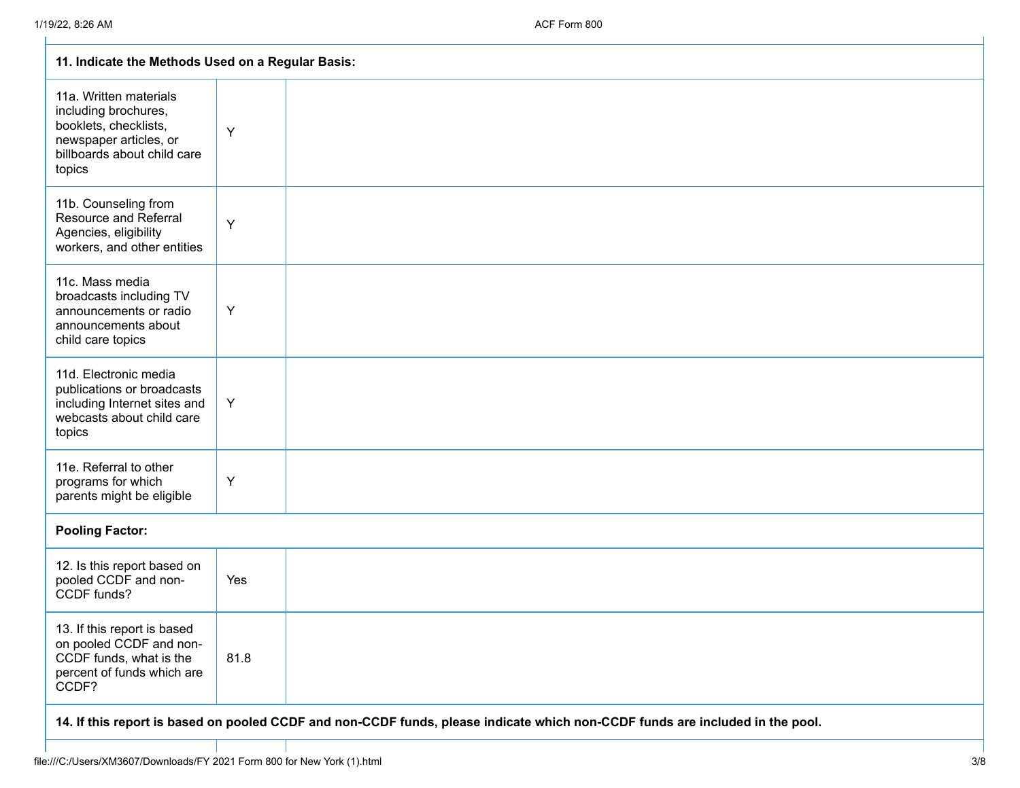| 11. Indicate the Methods Used on a Regular Basis:                                                                                          |      |  |  |  |
|--------------------------------------------------------------------------------------------------------------------------------------------|------|--|--|--|
| 11a. Written materials<br>including brochures,<br>booklets, checklists,<br>newspaper articles, or<br>billboards about child care<br>topics | Y    |  |  |  |
| 11b. Counseling from<br><b>Resource and Referral</b><br>Agencies, eligibility<br>workers, and other entities                               | Y    |  |  |  |
| 11c. Mass media<br>broadcasts including TV<br>announcements or radio<br>announcements about<br>child care topics                           | Y    |  |  |  |
| 11d. Electronic media<br>publications or broadcasts<br>including Internet sites and<br>webcasts about child care<br>topics                 | Y    |  |  |  |
| 11e. Referral to other<br>programs for which<br>parents might be eligible                                                                  | Y    |  |  |  |
| <b>Pooling Factor:</b>                                                                                                                     |      |  |  |  |
| 12. Is this report based on<br>pooled CCDF and non-<br>CCDF funds?                                                                         | Yes  |  |  |  |
| 13. If this report is based<br>on pooled CCDF and non-<br>CCDF funds, what is the<br>percent of funds which are<br>CCDF?                   | 81.8 |  |  |  |
| 14. If this report is based on pooled CCDF and non-CCDF funds, please indicate which non-CCDF funds are included in the pool.              |      |  |  |  |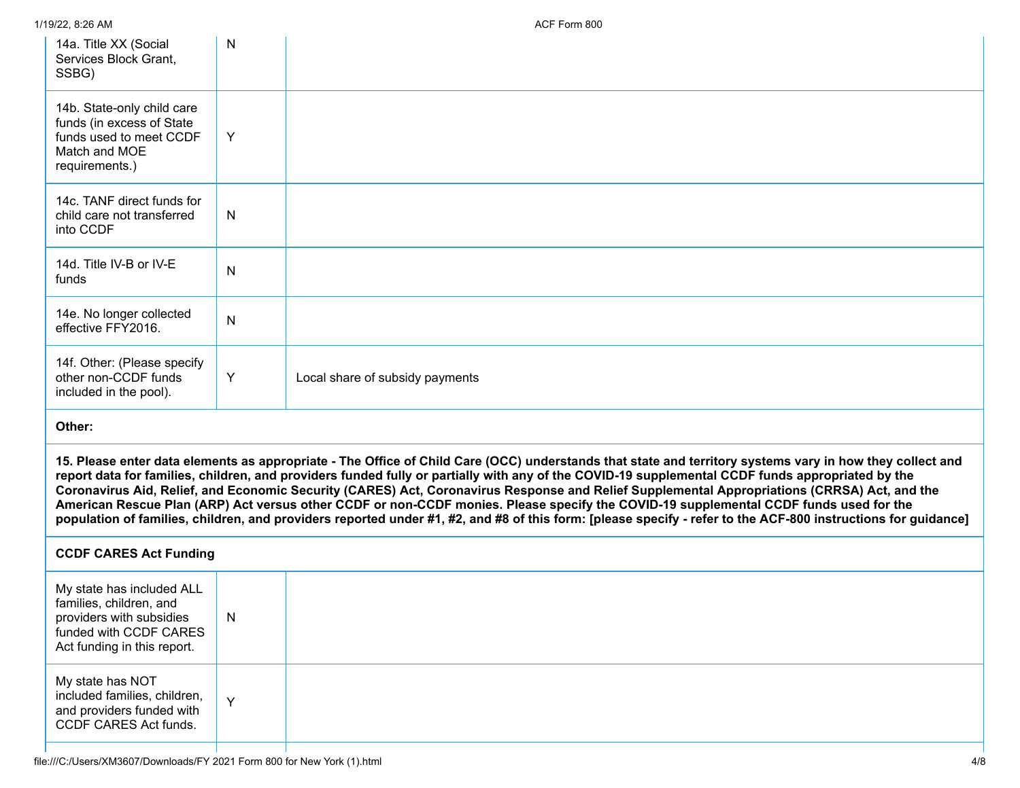| 14a. Title XX (Social<br>Services Block Grant,<br>SSBG)                                                                                   | N            |                                                                                                                                                                                                                                                                                                                                                                                                                                                                                                                                                                                                                                                                                                                                                                        |
|-------------------------------------------------------------------------------------------------------------------------------------------|--------------|------------------------------------------------------------------------------------------------------------------------------------------------------------------------------------------------------------------------------------------------------------------------------------------------------------------------------------------------------------------------------------------------------------------------------------------------------------------------------------------------------------------------------------------------------------------------------------------------------------------------------------------------------------------------------------------------------------------------------------------------------------------------|
| 14b. State-only child care<br>funds (in excess of State<br>funds used to meet CCDF<br>Match and MOE<br>requirements.)                     | Y            |                                                                                                                                                                                                                                                                                                                                                                                                                                                                                                                                                                                                                                                                                                                                                                        |
| 14c. TANF direct funds for<br>child care not transferred<br>into CCDF                                                                     | $\mathsf{N}$ |                                                                                                                                                                                                                                                                                                                                                                                                                                                                                                                                                                                                                                                                                                                                                                        |
| 14d. Title IV-B or IV-E<br>funds                                                                                                          | $\mathsf{N}$ |                                                                                                                                                                                                                                                                                                                                                                                                                                                                                                                                                                                                                                                                                                                                                                        |
| 14e. No longer collected<br>effective FFY2016.                                                                                            | $\mathsf{N}$ |                                                                                                                                                                                                                                                                                                                                                                                                                                                                                                                                                                                                                                                                                                                                                                        |
| 14f. Other: (Please specify<br>other non-CCDF funds<br>included in the pool).                                                             | Y            | Local share of subsidy payments                                                                                                                                                                                                                                                                                                                                                                                                                                                                                                                                                                                                                                                                                                                                        |
| Other:                                                                                                                                    |              |                                                                                                                                                                                                                                                                                                                                                                                                                                                                                                                                                                                                                                                                                                                                                                        |
|                                                                                                                                           |              | 15. Please enter data elements as appropriate - The Office of Child Care (OCC) understands that state and territory systems vary in how they collect and<br>report data for families, children, and providers funded fully or partially with any of the COVID-19 supplemental CCDF funds appropriated by the<br>Coronavirus Aid, Relief, and Economic Security (CARES) Act, Coronavirus Response and Relief Supplemental Appropriations (CRRSA) Act, and the<br>American Rescue Plan (ARP) Act versus other CCDF or non-CCDF monies. Please specify the COVID-19 supplemental CCDF funds used for the<br>population of families, children, and providers reported under #1, #2, and #8 of this form: [please specify - refer to the ACF-800 instructions for guidance] |
| <b>CCDF CARES Act Funding</b>                                                                                                             |              |                                                                                                                                                                                                                                                                                                                                                                                                                                                                                                                                                                                                                                                                                                                                                                        |
| My state has included ALL<br>families, children, and<br>providers with subsidies<br>funded with CCDF CARES<br>Act funding in this report. | $\mathsf{N}$ |                                                                                                                                                                                                                                                                                                                                                                                                                                                                                                                                                                                                                                                                                                                                                                        |
| My state has NOT<br>included families, children,<br>and providers funded with<br>CCDF CARES Act funds.                                    | Y            |                                                                                                                                                                                                                                                                                                                                                                                                                                                                                                                                                                                                                                                                                                                                                                        |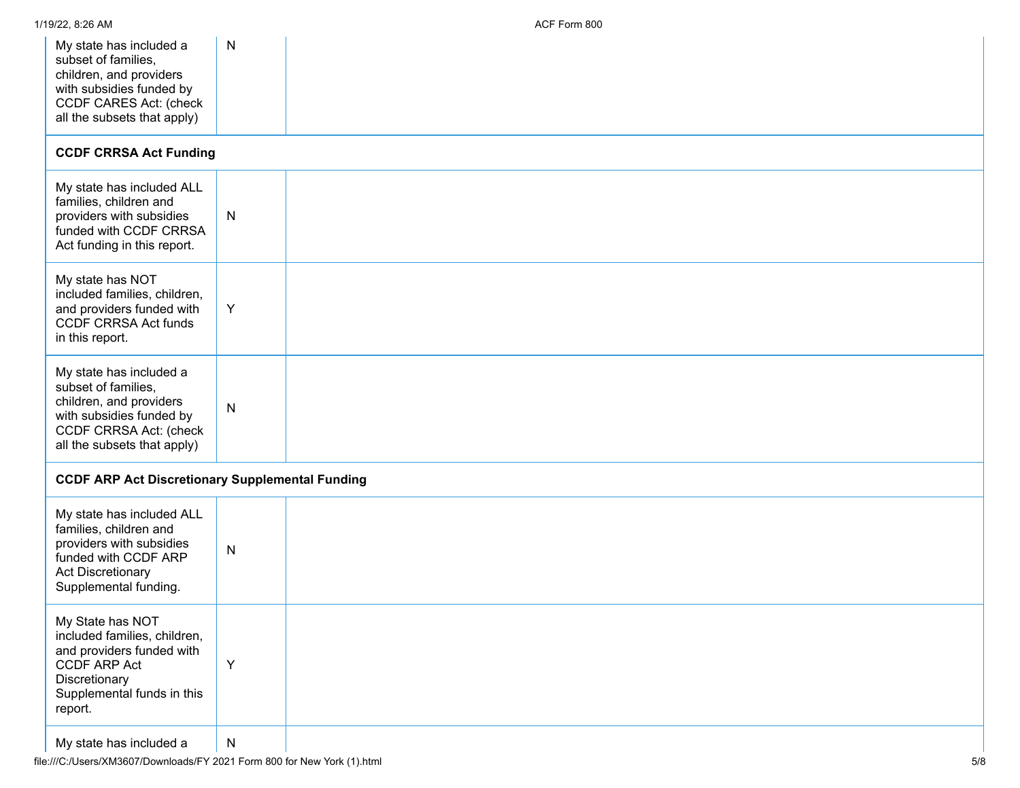| My state has included a<br>subset of families,<br>children, and providers<br>with subsidies funded by<br>CCDF CARES Act: (check<br>all the subsets that apply) | N            |  |
|----------------------------------------------------------------------------------------------------------------------------------------------------------------|--------------|--|
| <b>CCDF CRRSA Act Funding</b>                                                                                                                                  |              |  |
| My state has included ALL<br>families, children and<br>providers with subsidies<br>funded with CCDF CRRSA<br>Act funding in this report.                       | $\mathsf{N}$ |  |
| My state has NOT<br>included families, children,<br>and providers funded with<br><b>CCDF CRRSA Act funds</b><br>in this report.                                | Y            |  |
| My state has included a<br>subset of families,<br>children, and providers<br>with subsidies funded by<br>CCDF CRRSA Act: (check<br>all the subsets that apply) | ${\sf N}$    |  |
| <b>CCDF ARP Act Discretionary Supplemental Funding</b>                                                                                                         |              |  |
| My state has included ALL<br>families, children and<br>providers with subsidies<br>funded with CCDF ARP<br><b>Act Discretionary</b><br>Supplemental funding.   | $\mathsf{N}$ |  |
| My State has NOT<br>included families, children,<br>and providers funded with<br>CCDF ARP Act<br>Discretionary<br>Supplemental funds in this<br>report.        | Y            |  |
| My state has included a                                                                                                                                        | ${\sf N}$    |  |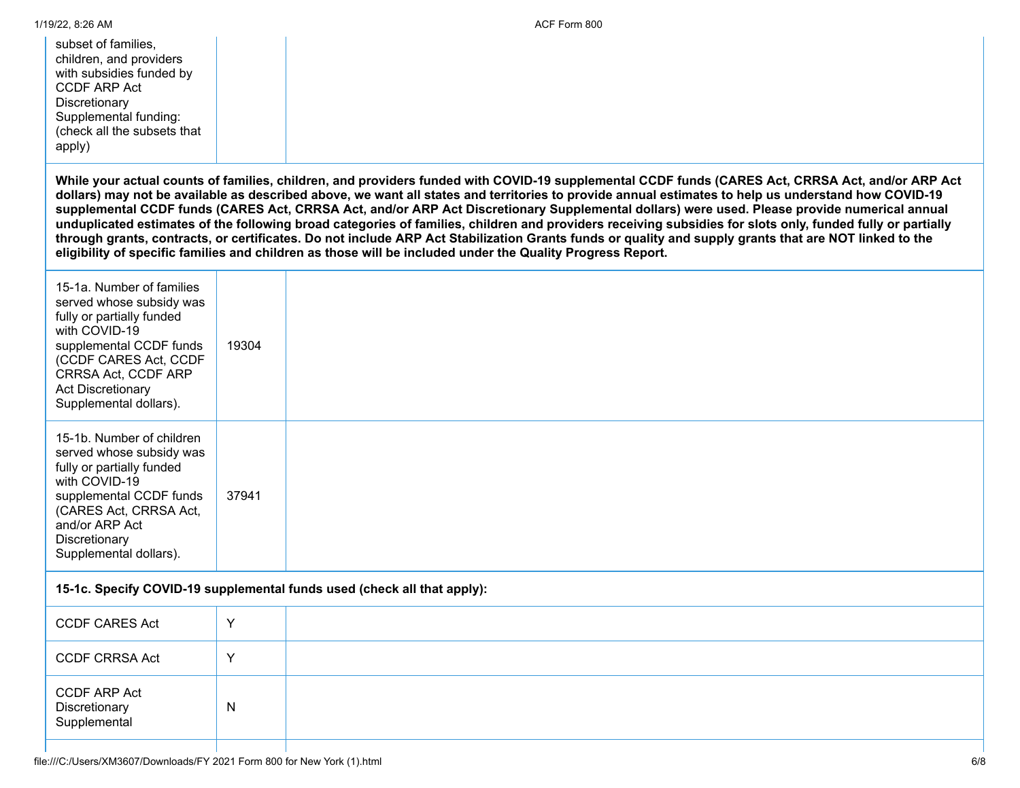| 1/19/22, 8:26 AM                                                                                                                                                                                                                     |       | ACF Form 800                                                                                                                                                                                                                                                                                                                                                                                                                                                                                                                                                                                                                                                                                                                                                                                                                                                                                 |
|--------------------------------------------------------------------------------------------------------------------------------------------------------------------------------------------------------------------------------------|-------|----------------------------------------------------------------------------------------------------------------------------------------------------------------------------------------------------------------------------------------------------------------------------------------------------------------------------------------------------------------------------------------------------------------------------------------------------------------------------------------------------------------------------------------------------------------------------------------------------------------------------------------------------------------------------------------------------------------------------------------------------------------------------------------------------------------------------------------------------------------------------------------------|
| subset of families.<br>children, and providers<br>with subsidies funded by<br><b>CCDF ARP Act</b><br>Discretionary<br>Supplemental funding:<br>(check all the subsets that<br>apply)                                                 |       |                                                                                                                                                                                                                                                                                                                                                                                                                                                                                                                                                                                                                                                                                                                                                                                                                                                                                              |
|                                                                                                                                                                                                                                      |       | While your actual counts of families, children, and providers funded with COVID-19 supplemental CCDF funds (CARES Act, CRRSA Act, and/or ARP Act<br>dollars) may not be available as described above, we want all states and territories to provide annual estimates to help us understand how COVID-19<br>supplemental CCDF funds (CARES Act, CRRSA Act, and/or ARP Act Discretionary Supplemental dollars) were used. Please provide numerical annual<br>unduplicated estimates of the following broad categories of families, children and providers receiving subsidies for slots only, funded fully or partially<br>through grants, contracts, or certificates. Do not include ARP Act Stabilization Grants funds or quality and supply grants that are NOT linked to the<br>eligibility of specific families and children as those will be included under the Quality Progress Report. |
| 15-1a. Number of families<br>served whose subsidy was<br>fully or partially funded<br>with COVID-19<br>supplemental CCDF funds<br>(CCDF CARES Act, CCDF<br>CRRSA Act, CCDF ARP<br><b>Act Discretionary</b><br>Supplemental dollars). | 19304 |                                                                                                                                                                                                                                                                                                                                                                                                                                                                                                                                                                                                                                                                                                                                                                                                                                                                                              |
| 15-1b. Number of children<br>served whose subsidy was<br>fully or partially funded<br>with COVID-19<br>supplemental CCDF funds<br>(CARES Act, CRRSA Act,<br>and/or ARP Act<br>Discretionary<br>Supplemental dollars).                | 37941 |                                                                                                                                                                                                                                                                                                                                                                                                                                                                                                                                                                                                                                                                                                                                                                                                                                                                                              |
|                                                                                                                                                                                                                                      |       | 15-1c. Specify COVID-19 supplemental funds used (check all that apply):                                                                                                                                                                                                                                                                                                                                                                                                                                                                                                                                                                                                                                                                                                                                                                                                                      |
| <b>CCDF CARES Act</b>                                                                                                                                                                                                                | Y     |                                                                                                                                                                                                                                                                                                                                                                                                                                                                                                                                                                                                                                                                                                                                                                                                                                                                                              |
| <b>CCDF CRRSA Act</b>                                                                                                                                                                                                                | Y     |                                                                                                                                                                                                                                                                                                                                                                                                                                                                                                                                                                                                                                                                                                                                                                                                                                                                                              |
| <b>CCDF ARP Act</b><br>Discretionary<br>Supplemental                                                                                                                                                                                 | N     |                                                                                                                                                                                                                                                                                                                                                                                                                                                                                                                                                                                                                                                                                                                                                                                                                                                                                              |
|                                                                                                                                                                                                                                      |       |                                                                                                                                                                                                                                                                                                                                                                                                                                                                                                                                                                                                                                                                                                                                                                                                                                                                                              |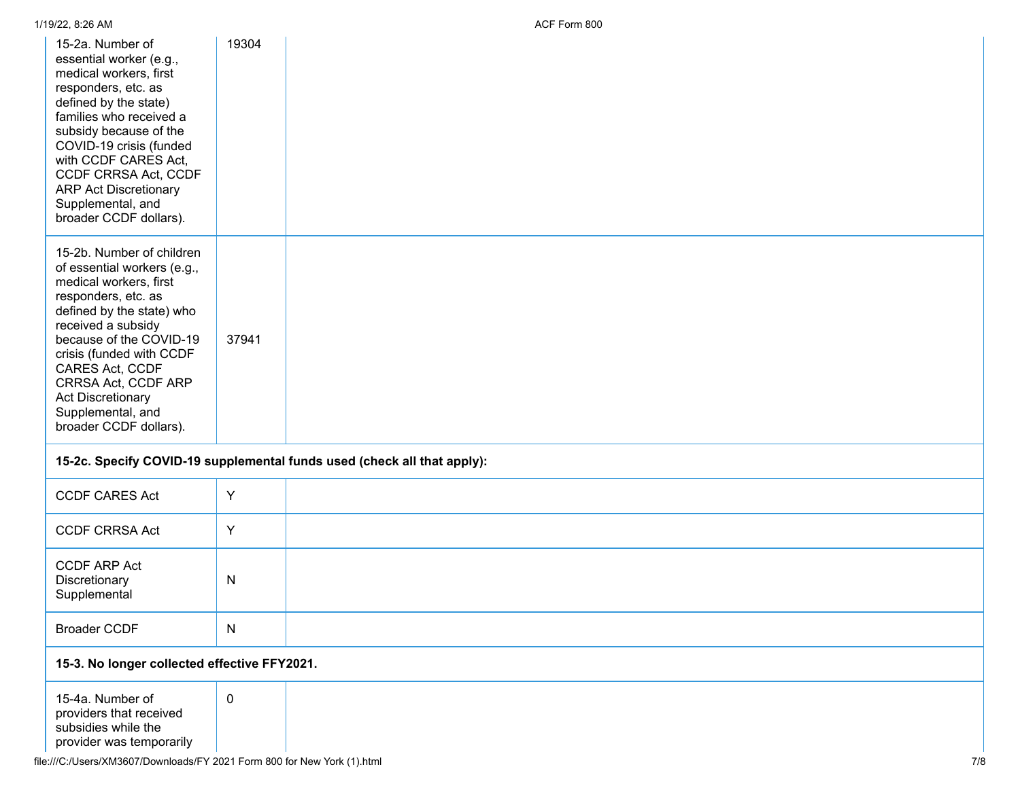| 15-2a. Number of<br>essential worker (e.g.,<br>medical workers, first<br>responders, etc. as<br>defined by the state)<br>families who received a<br>subsidy because of the<br>COVID-19 crisis (funded<br>with CCDF CARES Act,<br>CCDF CRRSA Act, CCDF<br><b>ARP Act Discretionary</b><br>Supplemental, and<br>broader CCDF dollars). | 19304                                                                   |  |  |  |  |  |  |
|--------------------------------------------------------------------------------------------------------------------------------------------------------------------------------------------------------------------------------------------------------------------------------------------------------------------------------------|-------------------------------------------------------------------------|--|--|--|--|--|--|
| 15-2b. Number of children<br>of essential workers (e.g.,<br>medical workers, first<br>responders, etc. as<br>defined by the state) who<br>received a subsidy<br>because of the COVID-19<br>crisis (funded with CCDF<br>CARES Act, CCDF<br>CRRSA Act, CCDF ARP<br>Act Discretionary<br>Supplemental, and<br>broader CCDF dollars).    | 37941                                                                   |  |  |  |  |  |  |
|                                                                                                                                                                                                                                                                                                                                      | 15-2c. Specify COVID-19 supplemental funds used (check all that apply): |  |  |  |  |  |  |
| <b>CCDF CARES Act</b>                                                                                                                                                                                                                                                                                                                | Y                                                                       |  |  |  |  |  |  |
| <b>CCDF CRRSA Act</b>                                                                                                                                                                                                                                                                                                                | Y                                                                       |  |  |  |  |  |  |
| <b>CCDF ARP Act</b><br>Discretionary<br>Supplemental                                                                                                                                                                                                                                                                                 | $\mathsf{N}$                                                            |  |  |  |  |  |  |
| <b>Broader CCDF</b>                                                                                                                                                                                                                                                                                                                  | ${\sf N}$                                                               |  |  |  |  |  |  |
|                                                                                                                                                                                                                                                                                                                                      | 15-3. No longer collected effective FFY2021.                            |  |  |  |  |  |  |
| 15-4a. Number of<br>providers that received<br>subsidies while the<br>provider was temporarily                                                                                                                                                                                                                                       | $\pmb{0}$                                                               |  |  |  |  |  |  |